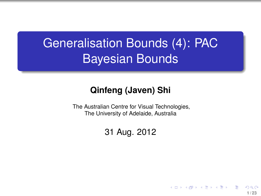# Generalisation Bounds (4): PAC Bayesian Bounds

### **Qinfeng (Javen) Shi**

The Australian Centre for Visual Technologies, The University of Adelaide, Australia

### 31 Aug. 2012

**1 / 23**

イロト イ押 トイヨ トイヨ トー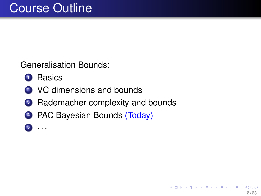Generalisation Bounds:

- **<sup>1</sup>** Basics
- **<sup>2</sup>** VC dimensions and bounds
- **3** Rademacher complexity and bounds
- **4** PAC Bayesian Bounds (Today)
- **<sup>5</sup>** · · ·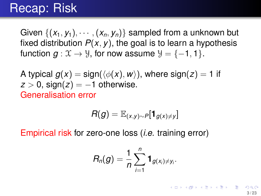### Recap: Risk

Given  $\{(x_1, y_1), \cdots, (x_n, y_n)\}\)$  sampled from a unknown but fixed distribution  $P(x, y)$ , the goal is to learn a hypothesis function  $g: \mathfrak{X} \to \mathfrak{Y}$ , for now assume  $\mathfrak{Y} = \{-1, 1\}$ .

A typical  $g(x) = \frac{\text{sign}(\langle \phi(x), w \rangle)}{\langle \phi(x), w \rangle}$ , where  $\frac{\text{sign}(z)}{z} = 1$  if  $z > 0$ , sign( $z$ ) = -1 otherwise. Generalisation error

$$
R(g) = \mathbb{E}_{(x,y)\sim P}[\mathbf{1}_{g(x)\neq y}]
$$

Empirical risk for zero-one loss (*i.e.* training error)

$$
R_n(g)=\frac{1}{n}\sum_{i=1}^n\mathbf{1}_{g(x_i)\neq y_i}.
$$

K ロ ト K 御 ト K 澄 ト K 澄 ト 一磨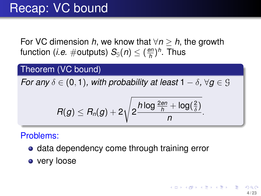For VC dimension *h*, we know that  $\forall n > h$ , the growth function (*i.e.*  $\#$ outputs)  $\mathcal{S}_{\mathbb{G}}(n) \leq (\frac{en}{h})$ *h* ) *h* . Thus

### Theorem (VC bound)

*For any*  $\delta \in (0,1)$ *, with probability at least*  $1 - \delta$ *,*  $\forall q \in \mathcal{G}$ 

$$
R(g) \leq R_n(g) + 2\sqrt{2\frac{h\log \frac{2en}{h} + \log(\frac{2}{\delta})}{n}}
$$

### Problems:

- **data dependency come through training error**
- very loose

.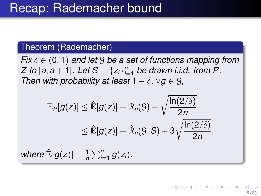#### Theorem (Rademacher)

*Fix* δ ∈ (0, 1) *and let* G *be a set of functions mapping from Z* to [a, a + 1]. Let  $S = \{z_i\}_{i=1}^n$  be drawn i.i.d. from P. *Then with probability at least*  $1 - \delta$ ,  $\forall q \in \mathcal{G}$ ,

$$
\mathbb{E}_{P}[g(z)] \leq \hat{\mathbb{E}}[g(z)] + \mathcal{R}_{n}(S) + \sqrt{\frac{\ln(2/\delta)}{2n}} \leq \hat{\mathbb{E}}[g(z)] + \hat{\mathcal{R}}_{n}(S, S) + 3\sqrt{\frac{\ln(2/\delta)}{2n}},
$$

**5 / 23**

 $($  ロ }  $($   $($  $)$  }  $($   $)$   $($   $)$   $($   $)$   $($   $)$   $($   $)$   $($   $)$   $($   $)$   $($   $)$   $($   $)$   $($   $)$   $($   $)$   $($   $)$   $($   $)$   $($   $)$   $($   $)$   $($   $)$   $($   $)$   $($   $)$   $($   $)$   $($   $)$   $($   $)$   $($   $)$   $($   $)$   $($   $)$   $($   $)$ 

*where*  $\mathbb{\hat{E}}[g(z)] = \frac{1}{n} \sum_{i=1}^{n} g(z_i)$ *.*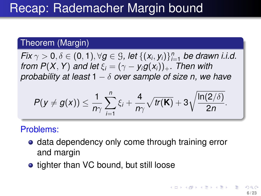#### Theorem (Margin)

*Fix*  $\gamma > 0$ ,  $\delta \in (0, 1)$ ,  $\forall g \in \mathcal{G}$ , let  $\{(x_i, y_i)\}_{i=1}^n$  be drawn i.i.d. *from P*(*X*, *Y*) *and let*  $\xi_i = (\gamma - y_i g(x_i))_+$ *. Then with probability at least* 1 − δ *over sample of size n, we have*

$$
P(y \neq g(x)) \leq \frac{1}{n\gamma} \sum_{i=1}^n \xi_i + \frac{4}{n\gamma} \sqrt{tr(\mathbf{K})} + 3 \sqrt{\frac{\ln(2/\delta)}{2n}}.
$$

#### Problems:

- **data dependency only come through training error** and margin
- tighter than VC bound, but still loose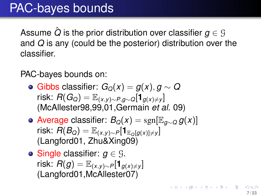# PAC-bayes bounds

Assume  $\hat{Q}$  is the prior distribution over classifier  $q \in \mathcal{G}$ and *Q* is any (could be the posterior) distribution over the classifier.

PAC-bayes bounds on:

- $\bullet$  Gibbs classifier:  $G_Q(x) = q(x), q \sim Q$ *risk:*  $R(G_Q) = \mathbb{E}_{(X,Y)\sim P,q\sim Q}[\mathbf{1}_{q(X)\neq Y}]$ (McAllester98,99,01,Germain *et al.* 09)
- $\bullet$  Average classifier:  $B_Q(x) = \text{sgn}[\mathbb{E}_{q \sim Q} g(x)]$ *risk:*  $R(B_Q) = \mathbb{E}_{(x,y)\sim P}[\mathbf{1}_{\mathbb{E}_{Q}[q(x)]\neq y}]$ (Langford01, Zhu&Xing09)
- **Single classifier:**  $g \in \mathcal{G}$ . *risk:*  $R(g) = \mathbb{E}_{(x,y)\sim P}[\mathbf{1}_{g(x)\neq y}]$ (Langford01,McAllester07)

K ロ ▶ K 御 ▶ K 君 ▶ K 君 ▶ ○ 君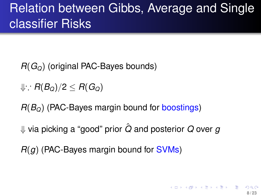# Relation between Gibbs, Average and Single classifier Risks

- *R*(*GQ*) (original PAC-Bayes bounds)
- ⇓∵ *R*(*BQ*)/2 ≤ *R*(*GQ*)
- *R*(*BQ*) (PAC-Bayes margin bound for boostings)
- ⇓ via picking a "good" prior *Q*ˆ and posterior *Q* over *g*
- *R*(*g*) (PAC-Bayes margin bound for SVMs)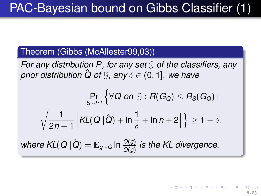### Theorem (Gibbs (McAllester99,03))

*For any distribution P, for any set* G *of the classifiers, any prior distribution*  $\hat{Q}$  *of*  $\hat{G}$ *, any*  $\delta \in (0, 1]$ *, we have* 

$$
\Pr_{S \sim P^n} \left\{ \forall Q \text{ on } \mathcal{G} : R(G_Q) \leq R_S(G_Q) + \sqrt{\frac{1}{2n-1} \left[ K L(Q||\hat{Q}) + \ln \frac{1}{\delta} + \ln n + 2 \right]} \right\} \geq 1 - \delta.
$$

 $\omega$  where  $\mathsf{KL}(Q||\hat{Q}) = \mathbb{E}_{g \sim Q}$  In  $\frac{Q(g)}{\hat{Q}(g)}$  is the KL divergence.

→ (御) → (唐) → (唐) **9 / 23**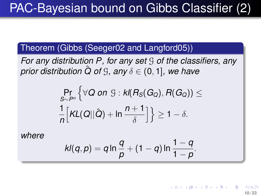# PAC-Bayesian bound on Gibbs Classifier (2)

### Theorem (Gibbs (Seeger02 and Langford05))

*For any distribution P, for any set* G *of the classifiers, any prior distribution*  $\hat{Q}$  *of*  $\hat{G}$ *, any*  $\delta \in (0, 1]$ *, we have* 

$$
\Pr_{S \sim P^n} \left\{ \forall Q \text{ on } \mathcal{G} : \text{kl}(R_S(G_Q), R(G_Q)) \leq \\ \frac{1}{n} \Big[ \text{KL}(Q||\hat{Q}) + \ln \frac{n+1}{\delta} \Big] \right\} \geq 1 - \delta.
$$

*where*

$$
kl(q,p)=q\ln\frac{q}{p}+(1-q)\ln\frac{1-q}{1-p}.
$$

←ロト ←何ト ←ヨト ←ヨト **10 / 23**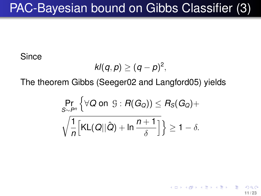# PAC-Bayesian bound on Gibbs Classifier (3)

**Since** 

$$
kl(q,p)\geq (q-p)^2,
$$

The theorem Gibbs (Seeger02 and Langford05) yields

$$
\Pr_{S \sim P^n} \left\{ \forall Q \text{ on } \mathcal{G} : R(G_Q) \right\} \leq R_S(G_Q) + \sqrt{\frac{1}{n} \left[ \mathsf{KL}(Q || \hat{Q}) + \mathsf{ln} \frac{n+1}{\delta} \right]} \right\} \geq 1 - \delta.
$$

**11 / 23**

K ロ ト K 御 ト K 澄 ト K 澄 ト 一磨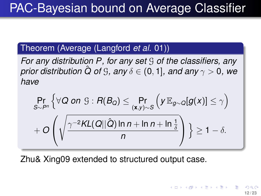#### Theorem (Average (Langford *et al.* 01))

*For any distribution P, for any set* G *of the classifiers, any prior distribution*  $\hat{Q}$  *of*  $\hat{G}$ *, any*  $\delta \in (0, 1]$ *, and any*  $\gamma > 0$ *, we have*

$$
\Pr_{S \sim P^n} \left\{ \forall Q \text{ on } \mathcal{G} : R(B_Q) \leq \Pr_{(\mathbf{x}, y) \sim S} \left( y \mathbb{E}_{g \sim Q} [g(x)] \leq \gamma \right) \right\}
$$

$$
+ O\left( \sqrt{\frac{\gamma^{-2}KL(Q||\hat{Q}) \ln n + \ln n + \ln \frac{1}{\delta}}{n}} \right) \geq 1 - \delta.
$$

Zhu& Xing09 extended to structured output case.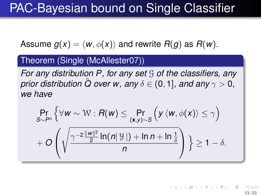# PAC-Bayesian bound on Single Classifier

Assume  $g(x) = \langle w, \phi(x) \rangle$  and rewrite  $R(g)$  as  $R(w)$ .

#### Theorem (Single (McAllester07))

*For any distribution P, for any set* G *of the classifiers, any prior distribution*  $\hat{Q}$  *over w, any*  $\delta \in (0, 1]$ *, and any*  $\gamma > 0$ *, we have*

$$
\Pr_{S \sim P^n} \left\{ \forall w \sim W : R(w) \leq \Pr_{(\mathbf{x}, y) \sim S} \left( y \langle w, \phi(x) \rangle \leq \gamma \right) + O\left(\sqrt{\frac{\gamma^{-2} \frac{\|\mathbf{w}\|^2}{2} \ln(n|\mathcal{Y}|) + \ln n + \ln \frac{1}{\delta}}{n}} \right) \right\} \geq 1 - \delta.
$$

イロト イ押 トイヨ トイヨ トー **13 / 23**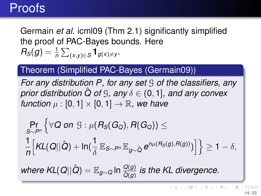### Proofs

Germain *et al.* icml09 (Thm 2.1) significantly simplified the proof of PAC-Bayes bounds. Here  $R_S(g) = \frac{1}{n} \sum_{(x,y) \in S} \mathbf{1}_{g(x) \neq y}$ .

#### Theorem (Simplified PAC-Bayes (Germain09))

*For any distribution P, for any set* G *of the classifiers, any prior distribution*  $\hat{Q}$  *of*  $\Im$ *, any*  $\delta \in (0, 1]$ *, and any convex function*  $\mu$  : [0, 1]  $\times$  [0, 1]  $\rightarrow \mathbb{R}$ , we have

$$
\Pr_{S \sim P^n} \left\{ \forall Q \text{ on } \mathcal{G} : \mu(R_S(G_Q), R(G_Q)) \leq \right. \\ \left. \frac{1}{n} \Big[ KL(Q||\hat{Q}) + \ln(\frac{1}{\delta} \mathbb{E}_{S \sim P^n} \mathbb{E}_{g \sim \hat{Q}} e^{n\mu(R_S(g), R(g))}) \Big] \right\} \geq 1 - \delta,
$$
\n
$$
\text{where } KL(Q||\hat{Q}) = \mathbb{E}_{g \sim Q} \ln \frac{Q(g)}{\hat{Q}(g)} \text{ is the KL divergence.}
$$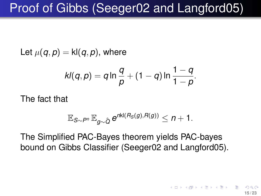# Proof of Gibbs (Seeger02 and Langford05)

Let  $\mu(q, p) =$  kl $(q, p)$ , where

$$
kl(q, p) = q \ln \frac{q}{p} + (1 - q) \ln \frac{1 - q}{1 - p}.
$$

The fact that

$$
\mathbb{E}_{S\sim P^n}\,\mathbb{E}_{g\sim \hat{Q}}\, e^{n{\sf kl}(R_S(g),R(g))}\leq n+1.
$$

The Simplified PAC-Bayes theorem yields PAC-bayes bound on Gibbs Classifier (Seeger02 and Langford05).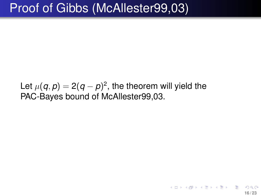## Proof of Gibbs (McAllester99,03)

Let  $\mu(\bm{q},\bm{p})=2(\bm{q}-\bm{p})^2,$  the theorem will yield the PAC-Bayes bound of McAllester99,03.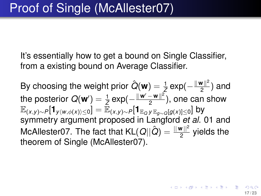It's essentially how to get a bound on Single Classifier, from a existing bound on Average Classifier.

By choosing the weight prior  $\hat{Q}(\textbf{w}) = \frac{1}{Z} \exp(-\frac{\|\textbf{w}\|^2}{2})$  $\frac{2}{2}$ ) and the posterior  $Q(\mathbf{w}') = \frac{1}{Z} \exp(-\frac{\|\mathbf{w}'-\mathbf{w}\|^2}{2})$  $\frac{-\mathbf{w}}{2}$ ), one can show  $\mathbb{E}_{(x,y)\sim P}[\mathbf{1}_{y\langle w,\phi(x)\rangle\leq 0}]=\mathbb{E}_{(x,y)\sim P}[\mathbf{1}_{\mathbb{E}_{Q}y|\mathbb{E}_{q\sim Q}[g(x)]\leq 0}]$  by symmetry argument proposed in Langford *et al.* 01 and McAllester07. The fact that  $\mathsf{KL}(Q||\hat{Q}) = \frac{||\mathbf{w}||^2}{2}$  yields the theorem of Single (McAllester07).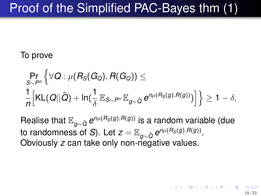# Proof of the Simplified PAC-Bayes thm (1)

### To prove

$$
\Pr_{S \sim P^n} \left\{ \forall \mathbf{Q} : \mu(R_S(G_Q), R(G_Q)) \leq \frac{1}{n} \Big[ \mathsf{KL}(\mathbf{Q} || \hat{\mathbf{Q}}) + \ln(\frac{1}{\delta} \mathbb{E}_{S \sim P^n} \mathbb{E}_{g \sim \hat{\mathbf{Q}}} e^{n\mu(R_S(g), R(g))}) \Big] \right\} \geq 1 - \delta,
$$

Realise that <sup>E</sup>*g*∼*Q*<sup>ˆ</sup> *<sup>e</sup> <sup>n</sup>*µ(*RS*(*g*),*R*(*g*)) is a random variable (due to randomness of *S*). Let  $z = \mathbb{E}_{g \sim \hat{Q}} e^{n \mu(R_S(g), R(g))}.$ Obviously *z* can take only non-negative values.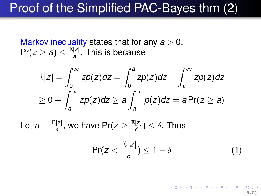# Proof of the Simplified PAC-Bayes thm (2)

Markov inequality states that for any  $a > 0$ ,  $Pr(z \geq a) \leq \frac{E[z]}{a}$ *a* . This is because

$$
\mathbb{E}[z] = \int_0^\infty zp(z)dz = \int_0^a zp(z)dz + \int_a^\infty zp(z)dz
$$
  
\n
$$
\geq 0 + \int_a^\infty zp(z)dz \geq a \int_a^\infty p(z)dz = aPr(z \geq a)
$$

Let  $a = \frac{\mathbb{E}[z]}{\delta}$  $\frac{[z]}{\delta}$ , we have Pr( $z \geq \frac{\mathbb{E}[z]}{\delta}$  $\frac{|\mathcal{L}|}{\delta}) \leq \delta$ . Thus

<span id="page-18-0"></span>
$$
\Pr(z < \frac{\mathbb{E}[z]}{\delta}) \le 1 - \delta \tag{1}
$$

K ロ ⊁ K 個 ≯ K 君 ⊁ K 君 ≯ (君 **19 / 23**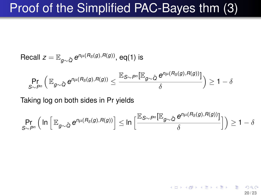## Proof of the Simplified PAC-Bayes thm (3)

Recall 
$$
z = \mathbb{E}_{g \sim \hat{Q}} e^{n\mu(R_S(g), R(g))}
$$
, eq(1) is  
\n
$$
\Pr_{S \sim P^n} \left( \mathbb{E}_{g \sim \hat{Q}} e^{n\mu(R_S(g), R(g))} \leq \frac{\mathbb{E}_{S \sim P^n} [\mathbb{E}_{g \sim \hat{Q}} e^{n\mu(R_S(g), R(g))}]}{\delta} \right) \geq 1 - \delta
$$

Taking log on both sides in Pr yields

$$
\Pr_{S \sim P^n} \left( \ln \left[ \mathbb{E}_{g \sim \hat{Q}} e^{n\mu(R_S(g), R(g))} \right] \le \ln \left[ \frac{\mathbb{E}_{S \sim P^n}[\mathbb{E}_{g \sim \hat{Q}} e^{n\mu(R_S(g), R(g))}] }{\delta} \right] \right) \ge 1 - \delta
$$

**20 / 23**

(ロトイ部)→(理)→(理)→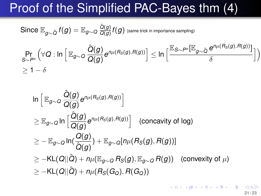## Proof of the Simplified PAC-Bayes thm (4)

 $\operatorname{Since} \, \mathbb{E}_{g \sim \hat{Q}} \, f(g) = \mathbb{E}_{g \sim Q} \, \frac{\hat{Q}(g)}{\overline{Q(g)}}$  $\frac{Q(g)}{Q(g)}f(g)$  (same trick in importance sampling)

$$
\Pr_{S \sim P^n} \left( \forall \Omega : \ln \left[ \mathbb{E}_{g \sim Q} \frac{\hat{Q}(g)}{Q(g)} e^{n\mu(R_S(g), R(g))} \right] \le \ln \left[ \frac{\mathbb{E}_{S \sim P^n} [\mathbb{E}_{g \sim \hat{Q}} e^{n\mu(R_S(g), R(g))}] }{\delta} \right] \right)
$$
  
 
$$
\ge 1 - \delta
$$

$$
\begin{aligned}\n&\ln\left[\mathbb{E}_{g\sim Q}\frac{\hat{Q}(g)}{Q(g)}e^{n\mu(R_S(g),R(g))}\right] \\
&\geq \mathbb{E}_{g\sim Q}\ln\left[\frac{\hat{Q}(g)}{Q(g)}e^{n\mu(R_S(g),R(g))}\right] \quad\text{(concavity of log)}\\
&\geq -\mathbb{E}_{g\sim Q}\ln(\frac{Q(g)}{\hat{Q}(g)}) + \mathbb{E}_{g\sim Q}[n\mu(R_S(g),R(g))] \\
&\geq -\text{KL}(Q||\hat{Q}) + n\mu(\mathbb{E}_{g\sim Q}R_S(g), \mathbb{E}_{g\sim Q}R(g)) \quad\text{(convexity of }\mu) \\
&\geq -\text{KL}(Q||\hat{Q}) + n\mu(R_S(G_Q),R(G_Q))\n\end{aligned}
$$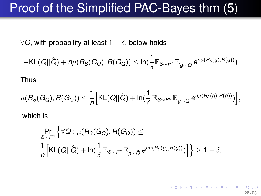# Proof of the Simplified PAC-Bayes thm (5)

 $\forall$ *Q*, with probability at least 1 −  $\delta$ , below holds

$$
-\mathsf{KL}(Q||\hat{Q})+n\mu(R_{S}(G_{Q}),R(G_{Q}))\leq\ln(\frac{1}{\delta}\mathbb{E}_{S\sim P^{n}}\mathbb{E}_{g\sim\hat{Q}}e^{n\mu(R_{S}(g),R(g))})
$$

Thus

$$
\mu(R_S(G_Q), R(G_Q)) \leq \frac{1}{n} \Big[ \text{KL}(Q||\hat{Q}) + \ln(\frac{1}{\delta} \mathbb{E}_{S \sim P^n} \mathbb{E}_{g \sim \hat{Q}} e^{n\mu(R_S(g), R(g))}) \Big],
$$

which is

$$
\Pr_{S \sim P^n} \left\{ \forall \mathbf{Q} : \mu(R_S(G_Q), R(G_Q)) \leq \\ \frac{1}{n} \Big[ \mathsf{KL}(\mathbf{Q} || \hat{\mathbf{Q}}) + \mathsf{In}(\frac{1}{\delta} \mathbb{E}_{S \sim P^n} \mathbb{E}_{g \sim \hat{\mathbf{Q}}} e^{n\mu(R_S(g), R(g))}) \Big] \right\} \geq 1 - \delta,
$$

K ロ ▶ K 個 ▶ K 君 ▶ K 君 ▶ ○ 君 **22 / 23**